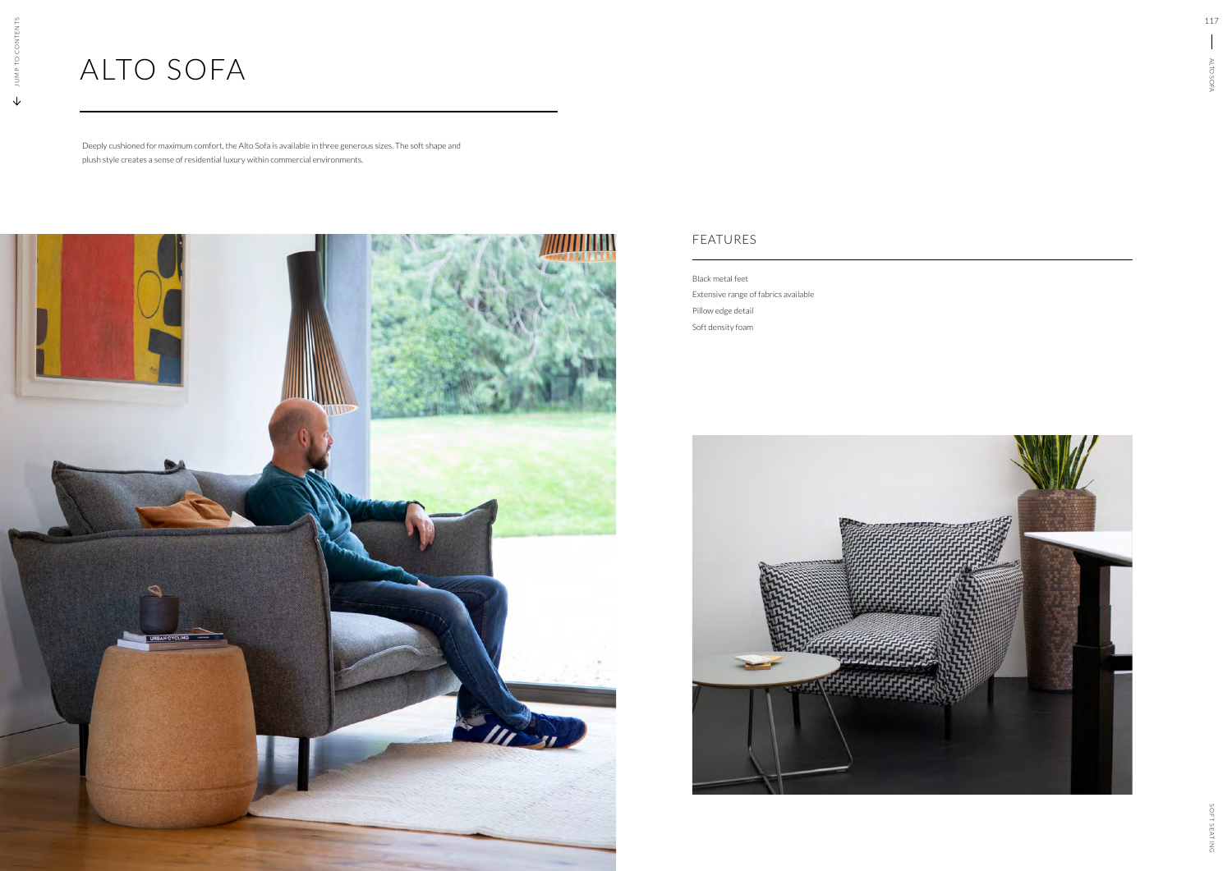## ALTO SOFA

Deeply cushioned for maximum comfort, the Alto Sofa is available in three generous sizes. The soft shape and plush style creates a sense of residential luxury within commercial environments.



Black metal feet Extensive range of fabrics available Pillow edge detail Soft density foam



## FEATURES